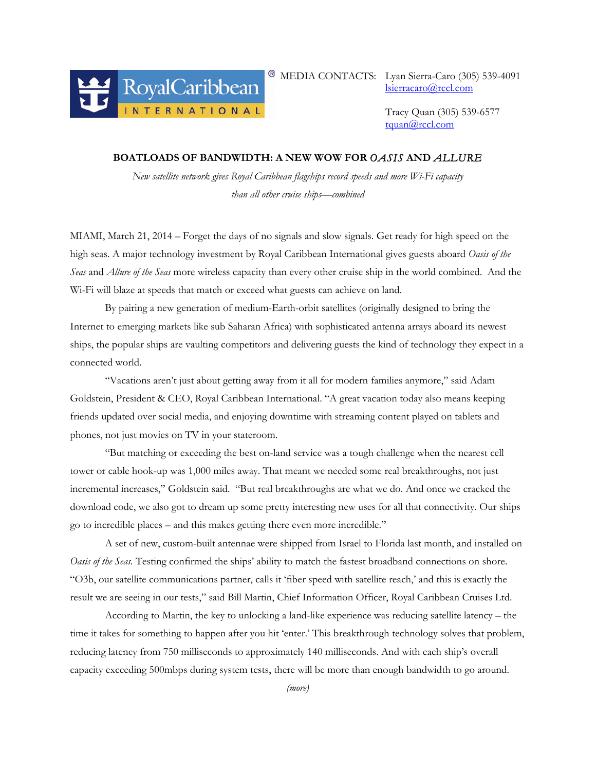

MEDIA CONTACTS: Lyan Sierra-Caro (305) 539-4091 lsierracaro@rccl.com

> Tracy Quan (305) 539-6577 tquan@rccl.com

## **BOATLOADS OF BANDWIDTH: A NEW WOW FOR** *OASIS* **AND** *ALLURE*

*New satellite network gives Royal Caribbean flagships record speeds and more Wi-Fi capacity than all other cruise ships—combined*

MIAMI, March 21, 2014 – Forget the days of no signals and slow signals. Get ready for high speed on the high seas. A major technology investment by Royal Caribbean International gives guests aboard *Oasis of the Seas* and *Allure of the Seas* more wireless capacity than every other cruise ship in the world combined. And the Wi-Fi will blaze at speeds that match or exceed what guests can achieve on land.

By pairing a new generation of medium-Earth-orbit satellites (originally designed to bring the Internet to emerging markets like sub Saharan Africa) with sophisticated antenna arrays aboard its newest ships, the popular ships are vaulting competitors and delivering guests the kind of technology they expect in a connected world.

"Vacations aren't just about getting away from it all for modern families anymore," said Adam Goldstein, President & CEO, Royal Caribbean International. "A great vacation today also means keeping friends updated over social media, and enjoying downtime with streaming content played on tablets and phones, not just movies on TV in your stateroom.

"But matching or exceeding the best on-land service was a tough challenge when the nearest cell tower or cable hook-up was 1,000 miles away. That meant we needed some real breakthroughs, not just incremental increases," Goldstein said. "But real breakthroughs are what we do. And once we cracked the download code, we also got to dream up some pretty interesting new uses for all that connectivity. Our ships go to incredible places – and this makes getting there even more incredible."

A set of new, custom-built antennae were shipped from Israel to Florida last month, and installed on *Oasis of the Seas.* Testing confirmed the ships' ability to match the fastest broadband connections on shore. "O3b, our satellite communications partner, calls it 'fiber speed with satellite reach,' and this is exactly the result we are seeing in our tests," said Bill Martin, Chief Information Officer, Royal Caribbean Cruises Ltd.

According to Martin, the key to unlocking a land-like experience was reducing satellite latency – the time it takes for something to happen after you hit 'enter.' This breakthrough technology solves that problem, reducing latency from 750 milliseconds to approximately 140 milliseconds. And with each ship's overall capacity exceeding 500mbps during system tests, there will be more than enough bandwidth to go around.